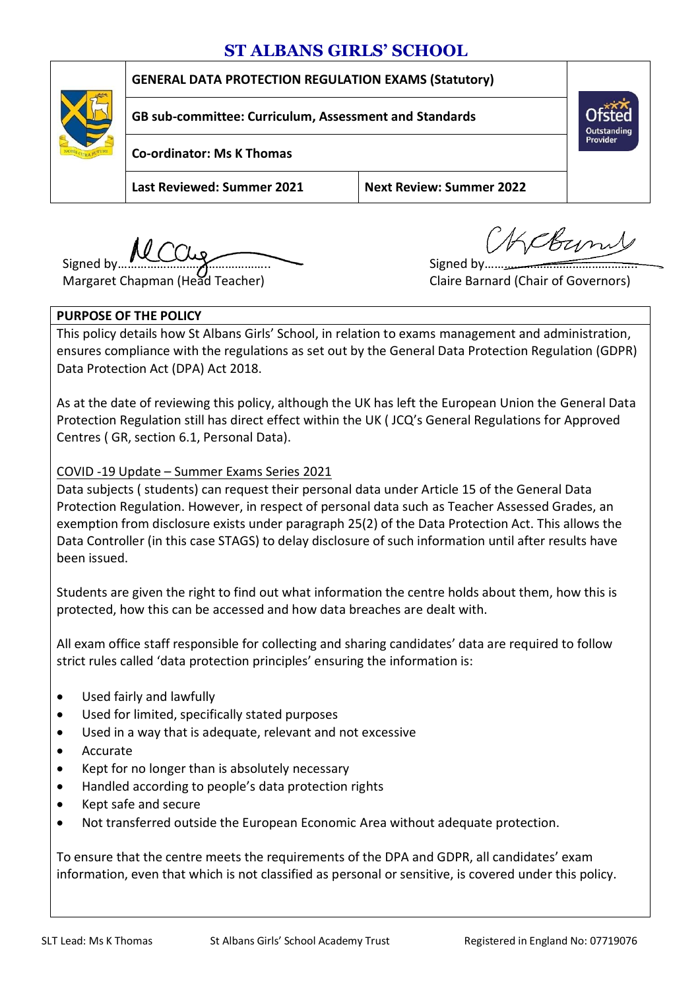# **ST ALBANS GIRLS' SCHOOL**



### **GENERAL DATA PROTECTION REGULATION EXAMS (Statutory)**

**GB sub-committee: Curriculum, Assessment and Standards**

**Co-ordinator: Ms K Thomas**

**Last Reviewed: Summer 2021 Next Review: Summer 2022**

Signed by  $\overbrace{\hspace{1cm}}$  Signed by  $\overbrace{\hspace{1cm}}$  Signed by  $\overbrace{\hspace{1cm}}$ 

Margaret Chapman (Head Teacher) Claire Barnard (Chair of Governors)

Kckyn

#### **PURPOSE OF THE POLICY**

This policy details how St Albans Girls' School, in relation to exams management and administration, ensures compliance with the regulations as set out by the General Data Protection Regulation (GDPR) Data Protection Act (DPA) Act 2018.

As at the date of reviewing this policy, although the UK has left the European Union the General Data Protection Regulation still has direct effect within the UK ( JCQ's General Regulations for Approved Centres ( GR, section 6.1, Personal Data).

COVID -19 Update – Summer Exams Series 2021

Data subjects ( students) can request their personal data under Article 15 of the General Data Protection Regulation. However, in respect of personal data such as Teacher Assessed Grades, an exemption from disclosure exists under paragraph 25(2) of the Data Protection Act. This allows the Data Controller (in this case STAGS) to delay disclosure of such information until after results have been issued.

Students are given the right to find out what information the centre holds about them, how this is protected, how this can be accessed and how data breaches are dealt with.

All exam office staff responsible for collecting and sharing candidates' data are required to follow strict rules called 'data protection principles' ensuring the information is:

- Used fairly and lawfully
- Used for limited, specifically stated purposes
- Used in a way that is adequate, relevant and not excessive
- Accurate
- Kept for no longer than is absolutely necessary
- Handled according to people's data protection rights
- Kept safe and secure
- Not transferred outside the European Economic Area without adequate protection.

To ensure that the centre meets the requirements of the DPA and GDPR, all candidates' exam information, even that which is not classified as personal or sensitive, is covered under this policy.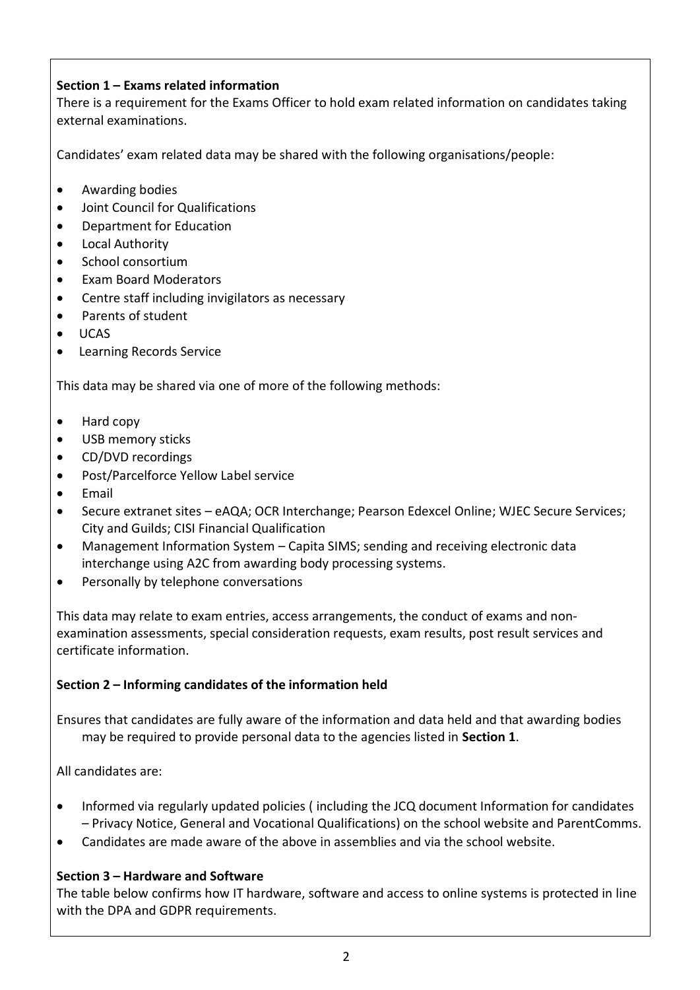# **Section 1 – Exams related information**

There is a requirement for the Exams Officer to hold exam related information on candidates taking external examinations.

Candidates' exam related data may be shared with the following organisations/people:

- Awarding bodies
- Joint Council for Qualifications
- Department for Education
- Local Authority
- School consortium
- Exam Board Moderators
- Centre staff including invigilators as necessary
- Parents of student
- UCAS
- Learning Records Service

This data may be shared via one of more of the following methods:

- Hard copy
- USB memory sticks
- CD/DVD recordings
- Post/Parcelforce Yellow Label service
- Email
- Secure extranet sites eAQA; OCR Interchange; Pearson Edexcel Online; WJEC Secure Services; City and Guilds; CISI Financial Qualification
- Management Information System Capita SIMS; sending and receiving electronic data interchange using A2C from awarding body processing systems.
- Personally by telephone conversations

This data may relate to exam entries, access arrangements, the conduct of exams and nonexamination assessments, special consideration requests, exam results, post result services and certificate information.

# **Section 2 – Informing candidates of the information held**

Ensures that candidates are fully aware of the information and data held and that awarding bodies may be required to provide personal data to the agencies listed in **Section 1**.

All candidates are:

- Informed via regularly updated policies ( including the JCQ document Information for candidates – Privacy Notice, General and Vocational Qualifications) on the school website and ParentComms.
- Candidates are made aware of the above in assemblies and via the school website.

# **Section 3 – Hardware and Software**

The table below confirms how IT hardware, software and access to online systems is protected in line with the DPA and GDPR requirements.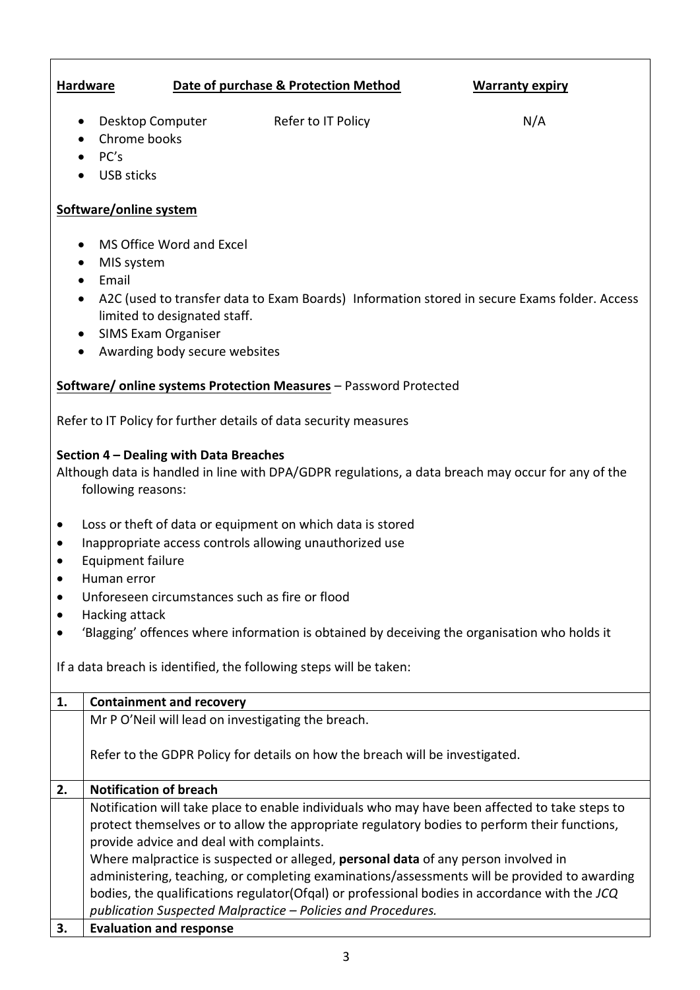# **Hardware Date of purchase & Protection Method Warranty expiry**

• Desktop Computer Refer to IT Policy N/A

- Chrome books  $\bullet$  PC's
- **•** USB sticks

## **Software/online system**

- MS Office Word and Excel
- MIS system
- Email
- A2C (used to transfer data to Exam Boards) Information stored in secure Exams folder. Access limited to designated staff.
- SIMS Exam Organiser
- Awarding body secure websites

#### **Software/ online systems Protection Measures** – Password Protected

Refer to IT Policy for further details of data security measures

#### **Section 4 – Dealing with Data Breaches**

Although data is handled in line with DPA/GDPR regulations, a data breach may occur for any of the following reasons:

- Loss or theft of data or equipment on which data is stored
- Inappropriate access controls allowing unauthorized use
- **•** Equipment failure
- Human error
- Unforeseen circumstances such as fire or flood
- Hacking attack
- 'Blagging' offences where information is obtained by deceiving the organisation who holds it

If a data breach is identified, the following steps will be taken:

| 1. | <b>Containment and recovery</b>                                                                |
|----|------------------------------------------------------------------------------------------------|
|    | Mr P O'Neil will lead on investigating the breach.                                             |
|    |                                                                                                |
|    | Refer to the GDPR Policy for details on how the breach will be investigated.                   |
|    |                                                                                                |
| 2. | <b>Notification of breach</b>                                                                  |
|    | Notification will take place to enable individuals who may have been affected to take steps to |
|    | protect themselves or to allow the appropriate regulatory bodies to perform their functions,   |
|    | provide advice and deal with complaints.                                                       |
|    | Where malpractice is suspected or alleged, personal data of any person involved in             |
|    | administering, teaching, or completing examinations/assessments will be provided to awarding   |
|    | bodies, the qualifications regulator(Ofgal) or professional bodies in accordance with the JCQ  |
|    | publication Suspected Malpractice - Policies and Procedures.                                   |
| 3. | <b>Evaluation and response</b>                                                                 |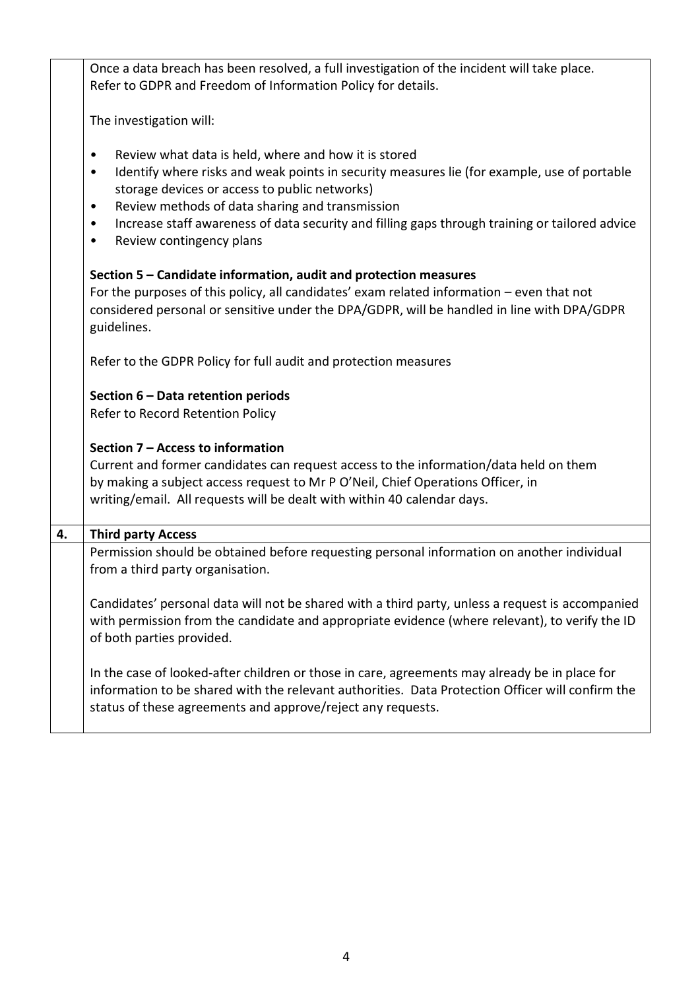| Once a data breach has been resolved, a full investigation of the incident will take place.<br>Refer to GDPR and Freedom of Information Policy for details.                                                                                                                                                                                                                                                    |
|----------------------------------------------------------------------------------------------------------------------------------------------------------------------------------------------------------------------------------------------------------------------------------------------------------------------------------------------------------------------------------------------------------------|
| The investigation will:                                                                                                                                                                                                                                                                                                                                                                                        |
| Review what data is held, where and how it is stored<br>٠<br>Identify where risks and weak points in security measures lie (for example, use of portable<br>٠<br>storage devices or access to public networks)<br>Review methods of data sharing and transmission<br>٠<br>Increase staff awareness of data security and filling gaps through training or tailored advice<br>٠<br>Review contingency plans<br>٠ |
| Section 5 - Candidate information, audit and protection measures<br>For the purposes of this policy, all candidates' exam related information - even that not<br>considered personal or sensitive under the DPA/GDPR, will be handled in line with DPA/GDPR<br>guidelines.                                                                                                                                     |
| Refer to the GDPR Policy for full audit and protection measures                                                                                                                                                                                                                                                                                                                                                |
| Section 6 - Data retention periods<br>Refer to Record Retention Policy                                                                                                                                                                                                                                                                                                                                         |
| Section 7 - Access to information<br>Current and former candidates can request access to the information/data held on them<br>by making a subject access request to Mr P O'Neil, Chief Operations Officer, in<br>writing/email. All requests will be dealt with within 40 calendar days.                                                                                                                       |
|                                                                                                                                                                                                                                                                                                                                                                                                                |
| <b>Third party Access</b>                                                                                                                                                                                                                                                                                                                                                                                      |
| Permission should be obtained before requesting personal information on another individual<br>from a third party organisation.                                                                                                                                                                                                                                                                                 |
| Candidates' personal data will not be shared with a third party, unless a request is accompanied<br>with permission from the candidate and appropriate evidence (where relevant), to verify the ID<br>of both parties provided.                                                                                                                                                                                |
|                                                                                                                                                                                                                                                                                                                                                                                                                |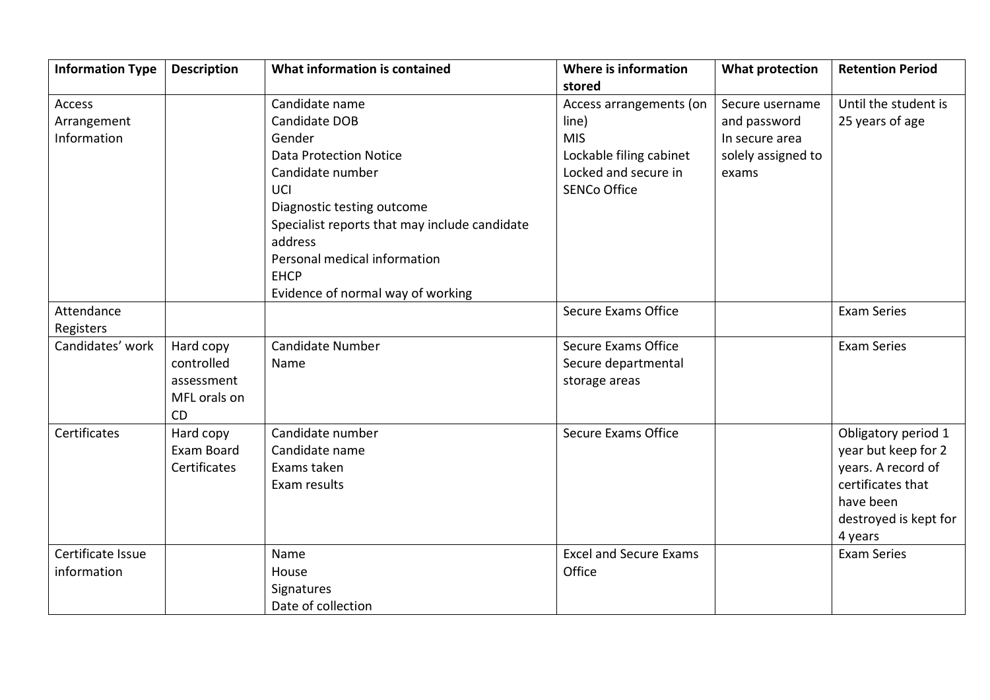| <b>Information Type</b> | <b>Description</b>  | What information is contained                 | Where is information          | <b>What protection</b> | <b>Retention Period</b> |
|-------------------------|---------------------|-----------------------------------------------|-------------------------------|------------------------|-------------------------|
|                         |                     |                                               | stored                        |                        |                         |
| Access                  |                     | Candidate name                                | Access arrangements (on       | Secure username        | Until the student is    |
| Arrangement             |                     | Candidate DOB                                 | line)                         | and password           | 25 years of age         |
| Information             |                     | Gender                                        | <b>MIS</b>                    | In secure area         |                         |
|                         |                     | <b>Data Protection Notice</b>                 | Lockable filing cabinet       | solely assigned to     |                         |
|                         |                     | Candidate number                              | Locked and secure in          | exams                  |                         |
|                         |                     | UCI                                           | <b>SENCo Office</b>           |                        |                         |
|                         |                     | Diagnostic testing outcome                    |                               |                        |                         |
|                         |                     | Specialist reports that may include candidate |                               |                        |                         |
|                         |                     | address                                       |                               |                        |                         |
|                         |                     | Personal medical information                  |                               |                        |                         |
|                         |                     | <b>EHCP</b>                                   |                               |                        |                         |
|                         |                     | Evidence of normal way of working             |                               |                        |                         |
| Attendance              |                     |                                               | <b>Secure Exams Office</b>    |                        | <b>Exam Series</b>      |
| Registers               |                     |                                               |                               |                        |                         |
| Candidates' work        | Hard copy           | <b>Candidate Number</b>                       | <b>Secure Exams Office</b>    |                        | <b>Exam Series</b>      |
|                         | controlled          | Name                                          | Secure departmental           |                        |                         |
|                         | assessment          |                                               | storage areas                 |                        |                         |
|                         | MFL orals on        |                                               |                               |                        |                         |
|                         | <b>CD</b>           |                                               |                               |                        |                         |
| Certificates            | Hard copy           | Candidate number                              | <b>Secure Exams Office</b>    |                        | Obligatory period 1     |
|                         | Exam Board          | Candidate name                                |                               |                        | year but keep for 2     |
|                         | <b>Certificates</b> | Exams taken                                   |                               |                        | years. A record of      |
|                         |                     | Exam results                                  |                               |                        | certificates that       |
|                         |                     |                                               |                               |                        | have been               |
|                         |                     |                                               |                               |                        | destroyed is kept for   |
|                         |                     |                                               |                               |                        | 4 years                 |
| Certificate Issue       |                     | Name                                          | <b>Excel and Secure Exams</b> |                        | <b>Exam Series</b>      |
| information             |                     | House                                         | Office                        |                        |                         |
|                         |                     | Signatures                                    |                               |                        |                         |
|                         |                     | Date of collection                            |                               |                        |                         |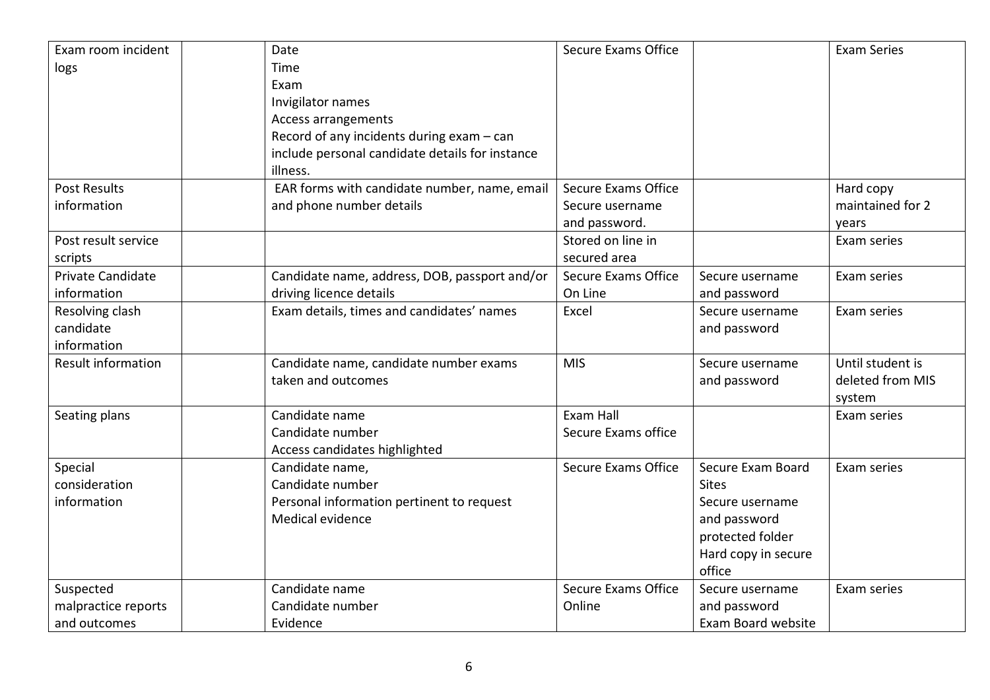| Exam room incident        | Date                                            | <b>Secure Exams Office</b> |                     | <b>Exam Series</b> |
|---------------------------|-------------------------------------------------|----------------------------|---------------------|--------------------|
| logs                      | Time                                            |                            |                     |                    |
|                           | Exam                                            |                            |                     |                    |
|                           | Invigilator names                               |                            |                     |                    |
|                           | Access arrangements                             |                            |                     |                    |
|                           | Record of any incidents during exam - can       |                            |                     |                    |
|                           | include personal candidate details for instance |                            |                     |                    |
|                           | illness.                                        |                            |                     |                    |
| <b>Post Results</b>       | EAR forms with candidate number, name, email    | Secure Exams Office        |                     | Hard copy          |
| information               | and phone number details                        | Secure username            |                     | maintained for 2   |
|                           |                                                 | and password.              |                     | years              |
| Post result service       |                                                 | Stored on line in          |                     | Exam series        |
| scripts                   |                                                 | secured area               |                     |                    |
| Private Candidate         | Candidate name, address, DOB, passport and/or   | <b>Secure Exams Office</b> | Secure username     | Exam series        |
| information               | driving licence details                         | On Line                    | and password        |                    |
| Resolving clash           | Exam details, times and candidates' names       | Excel                      | Secure username     | Exam series        |
| candidate                 |                                                 |                            | and password        |                    |
| information               |                                                 |                            |                     |                    |
| <b>Result information</b> | Candidate name, candidate number exams          | <b>MIS</b>                 | Secure username     | Until student is   |
|                           | taken and outcomes                              |                            | and password        | deleted from MIS   |
|                           |                                                 |                            |                     | system             |
| Seating plans             | Candidate name                                  | Exam Hall                  |                     | Exam series        |
|                           | Candidate number                                | Secure Exams office        |                     |                    |
|                           | Access candidates highlighted                   |                            |                     |                    |
| Special                   | Candidate name,                                 | Secure Exams Office        | Secure Exam Board   | Exam series        |
| consideration             | Candidate number                                |                            | <b>Sites</b>        |                    |
| information               | Personal information pertinent to request       |                            | Secure username     |                    |
|                           | Medical evidence                                |                            | and password        |                    |
|                           |                                                 |                            | protected folder    |                    |
|                           |                                                 |                            | Hard copy in secure |                    |
|                           |                                                 |                            | office              |                    |
| Suspected                 | Candidate name                                  | <b>Secure Exams Office</b> | Secure username     | Exam series        |
| malpractice reports       | Candidate number                                | Online                     | and password        |                    |
| and outcomes              | Evidence                                        |                            | Exam Board website  |                    |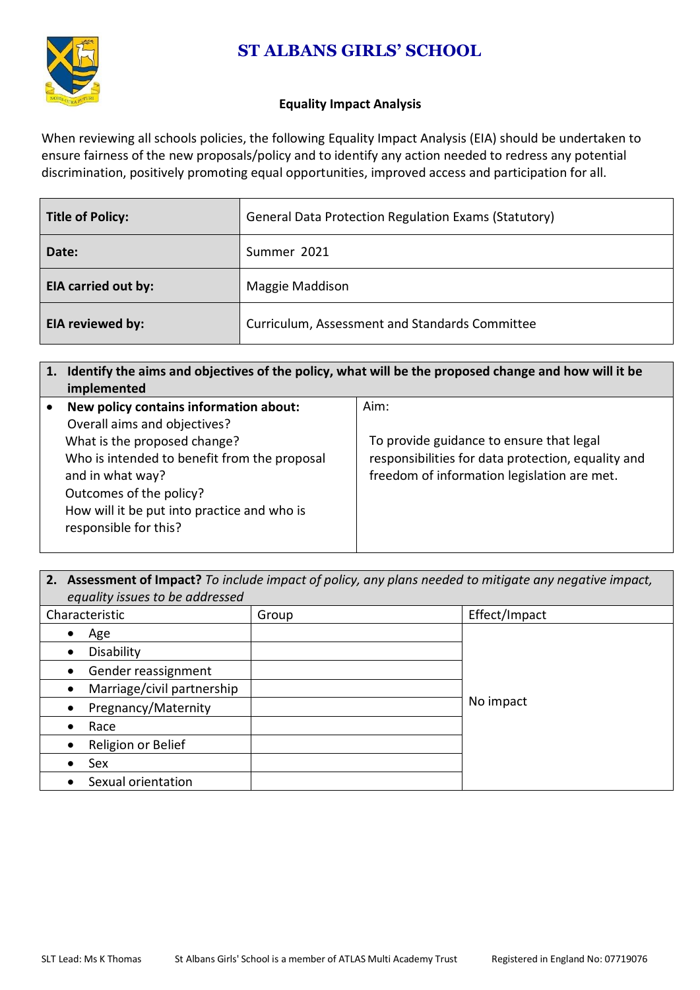# **ST ALBANS GIRLS' SCHOOL**



#### **Equality Impact Analysis**

When reviewing all schools policies, the following Equality Impact Analysis (EIA) should be undertaken to ensure fairness of the new proposals/policy and to identify any action needed to redress any potential discrimination, positively promoting equal opportunities, improved access and participation for all.

| <b>Title of Policy:</b>    | <b>General Data Protection Regulation Exams (Statutory)</b> |  |
|----------------------------|-------------------------------------------------------------|--|
| Date:                      | Summer 2021                                                 |  |
| <b>EIA carried out by:</b> | Maggie Maddison                                             |  |
| EIA reviewed by:           | Curriculum, Assessment and Standards Committee              |  |

## **1. Identify the aims and objectives of the policy, what will be the proposed change and how will it be implemented**

| New policy contains information about:       | Aim:                                               |
|----------------------------------------------|----------------------------------------------------|
| Overall aims and objectives?                 |                                                    |
| What is the proposed change?                 | To provide guidance to ensure that legal           |
| Who is intended to benefit from the proposal | responsibilities for data protection, equality and |
| and in what way?                             | freedom of information legislation are met.        |
| Outcomes of the policy?                      |                                                    |
| How will it be put into practice and who is  |                                                    |
| responsible for this?                        |                                                    |
|                                              |                                                    |

#### **2. Assessment of Impact?** *To include impact of policy, any plans needed to mitigate any negative impact, equality issues to be addressed*

| <u>- gaanty nood oo dood aan soon</u><br>Characteristic | Group | Effect/Impact |
|---------------------------------------------------------|-------|---------------|
| Age<br>$\bullet$                                        |       |               |
| Disability<br>$\bullet$                                 |       |               |
| Gender reassignment<br>$\bullet$                        |       |               |
| Marriage/civil partnership<br>$\bullet$                 |       |               |
| Pregnancy/Maternity<br>$\bullet$                        |       | No impact     |
| Race<br>$\bullet$                                       |       |               |
| Religion or Belief<br>$\bullet$                         |       |               |
| Sex                                                     |       |               |
| Sexual orientation<br>$\bullet$                         |       |               |